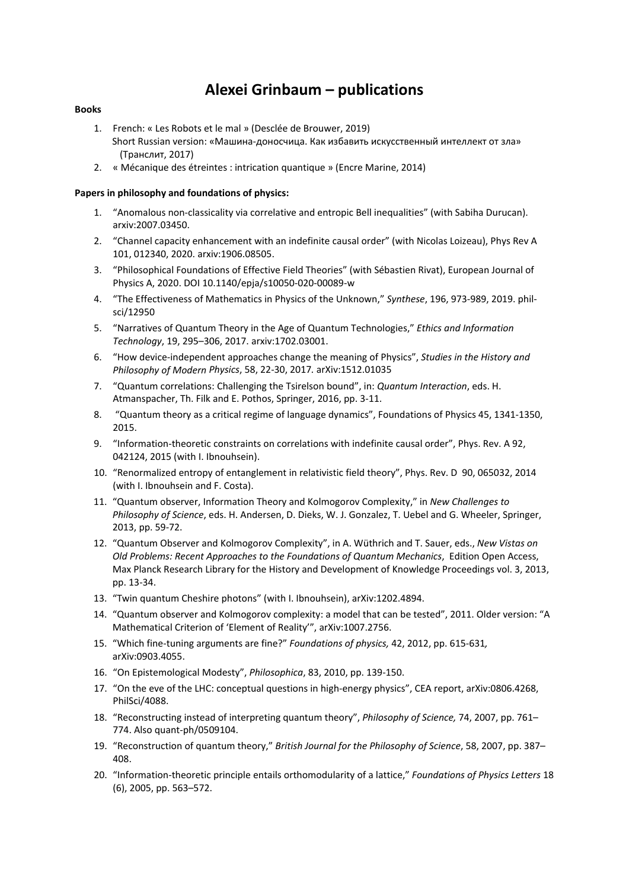# **Alexei Grinbaum – publications**

# **Books**

- 1. French: « Les Robots et le mal » (Desclée de Brouwer, 2019) Short Russian version: «Машина‐доносчица. Как избавить искусственный интеллект от зла» (Транслит, 2017)
- 2. « Mécanique des étreintes : intrication quantique » (Encre Marine, 2014)

# **Papers in philosophy and foundations of physics:**

- 1. "Anomalous non‐classicality via correlative and entropic Bell inequalities" (with Sabiha Durucan). arxiv:2007.03450.
- 2. "Channel capacity enhancement with an indefinite causal order" (with Nicolas Loizeau), Phys Rev A 101, 012340, 2020. arxiv:1906.08505.
- 3. "Philosophical Foundations of Effective Field Theories" (with Sébastien Rivat), European Journal of Physics A, 2020. DOI 10.1140/epja/s10050‐020‐00089‐w
- 4. "The Effectiveness of Mathematics in Physics of the Unknown," *Synthese*, 196, 973‐989, 2019. phil‐ sci/12950
- 5. "Narratives of Quantum Theory in the Age of Quantum Technologies," *Ethics and Information Technology*, 19, 295–306, 2017. arxiv:1702.03001.
- 6. "How device‐independent approaches change the meaning of Physics", *Studies in the History and Philosophy of Modern Physics*, 58, 22‐30, 2017*.* arXiv:1512.01035
- 7. "Quantum correlations: Challenging the Tsirelson bound", in: *Quantum Interaction*, eds. H. Atmanspacher, Th. Filk and E. Pothos, Springer, 2016, pp. 3‐11.
- 8. "Quantum theory as a critical regime of language dynamics", Foundations of Physics 45, 1341‐1350, 2015.
- 9. "Information-theoretic constraints on correlations with indefinite causal order", Phys. Rev. A 92, 042124, 2015 (with I. Ibnouhsein).
- 10. "Renormalized entropy of entanglement in relativistic field theory", Phys. Rev. D 90, 065032, 2014 (with I. Ibnouhsein and F. Costa).
- 11. "Quantum observer, Information Theory and Kolmogorov Complexity," in *New Challenges to Philosophy of Science*, eds. H. Andersen, D. Dieks, W. J. Gonzalez, T. Uebel and G. Wheeler, Springer, 2013, pp. 59‐72.
- 12. "Quantum Observer and Kolmogorov Complexity", in A. Wüthrich and T. Sauer, eds., *New Vistas on Old Problems: Recent Approaches to the Foundations of Quantum Mechanics*, Edition Open Access, Max Planck Research Library for the History and Development of Knowledge Proceedings vol. 3, 2013, pp. 13‐34.
- 13. "Twin quantum Cheshire photons" (with I. Ibnouhsein), arXiv:1202.4894.
- 14. "Quantum observer and Kolmogorov complexity: a model that can be tested", 2011. Older version: "A Mathematical Criterion of 'Element of Reality'", arXiv:1007.2756.
- 15. "Which fine‐tuning arguments are fine?" *Foundations of physics,* 42, 2012, pp. 615‐631*,* arXiv:0903.4055.
- 16. "On Epistemological Modesty", *Philosophica*, 83, 2010, pp. 139‐150.
- 17. "On the eve of the LHC: conceptual questions in high-energy physics", CEA report, arXiv:0806.4268, PhilSci/4088.
- 18. "Reconstructing instead of interpreting quantum theory", *Philosophy of Science,* 74, 2007, pp. 761– 774. Also quant‐ph/0509104.
- 19. "Reconstruction of quantum theory," *British Journal for the Philosophy of Science*, 58, 2007, pp. 387– 408.
- 20. "Information‐theoretic principle entails orthomodularity of a lattice," *Foundations of Physics Letters* 18 (6), 2005, pp. 563–572.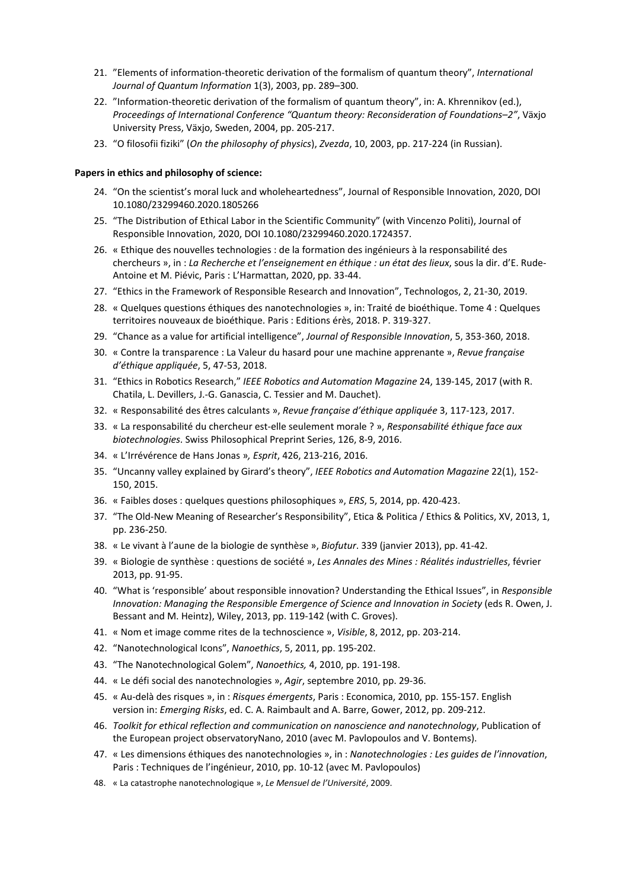- 21. "Elements of information‐theoretic derivation of the formalism of quantum theory", *International Journal of Quantum Information* 1(3), 2003, pp. 289–300.
- 22. "Information-theoretic derivation of the formalism of quantum theory", in: A. Khrennikov (ed.), *Proceedings of International Conference "Quantum theory: Reconsideration of Foundations–2"*, Växjo University Press, Växjo, Sweden, 2004, pp. 205‐217.
- 23. "O filosofii fiziki" (*On the philosophy of physics*), *Zvezda*, 10, 2003, pp. 217‐224 (in Russian).

## **Papers in ethics and philosophy of science:**

- 24. "On the scientist's moral luck and wholeheartedness", Journal of Responsible Innovation, 2020, DOI 10.1080/23299460.2020.1805266
- 25. "The Distribution of Ethical Labor in the Scientific Community" (with Vincenzo Politi), Journal of Responsible Innovation, 2020, DOI 10.1080/23299460.2020.1724357.
- 26. « Ethique des nouvelles technologies : de la formation des ingénieurs à la responsabilité des chercheurs », in : *La Recherche et l'enseignement en éthique : un état des lieux*, sous la dir. d'E. Rude‐ Antoine et M. Piévic, Paris : L'Harmattan, 2020, pp. 33‐44.
- 27. "Ethics in the Framework of Responsible Research and Innovation", Technologos, 2, 21‐30, 2019.
- 28. « Quelques questions éthiques des nanotechnologies », in: Traité de bioéthique. Tome 4 : Quelques territoires nouveaux de bioéthique. Paris : Editions érès, 2018. P. 319‐327.
- 29. "Chance as a value for artificial intelligence", *Journal of Responsible Innovation*, 5, 353‐360, 2018.
- 30. « Contre la transparence : La Valeur du hasard pour une machine apprenante », *Revue française d'éthique appliquée*, 5, 47‐53, 2018.
- 31. "Ethics in Robotics Research," *IEEE Robotics and Automation Magazine* 24, 139‐145, 2017 (with R. Chatila, L. Devillers, J.‐G. Ganascia, C. Tessier and M. Dauchet).
- 32. « Responsabilité des êtres calculants », *Revue française d'éthique appliquée* 3, 117‐123, 2017.
- 33. « La responsabilité du chercheur est‐elle seulement morale ? », *Responsabilité éthique face aux biotechnologies*. Swiss Philosophical Preprint Series, 126, 8‐9, 2016.
- 34. « L'Irrévérence de Hans Jonas »*, Esprit*, 426, 213‐216, 2016.
- 35. "Uncanny valley explained by Girard's theory", *IEEE Robotics and Automation Magazine* 22(1), 152‐ 150, 2015.
- 36. « Faibles doses : quelques questions philosophiques », *ERS*, 5, 2014, pp. 420‐423.
- 37. "The Old‐New Meaning of Researcher's Responsibility", Etica & Politica / Ethics & Politics, XV, 2013, 1, pp. 236‐250.
- 38. « Le vivant à l'aune de la biologie de synthèse », *Biofutur*. 339 (janvier 2013), pp. 41‐42.
- 39. « Biologie de synthèse : questions de société », *Les Annales des Mines : Réalités industrielles*, février 2013, pp. 91‐95.
- 40. "What is 'responsible' about responsible innovation? Understanding the Ethical Issues", in *Responsible Innovation: Managing the Responsible Emergence of Science and Innovation in Society* (eds R. Owen, J. Bessant and M. Heintz), Wiley, 2013, pp. 119‐142 (with C. Groves).
- 41. « Nom et image comme rites de la technoscience », *Visible*, 8, 2012, pp. 203‐214.
- 42. "Nanotechnological Icons", *Nanoethics*, 5, 2011, pp. 195‐202.
- 43. "The Nanotechnological Golem", *Nanoethics,* 4, 2010, pp. 191‐198.
- 44. « Le défi social des nanotechnologies », *Agir*, septembre 2010, pp. 29‐36.
- 45. « Au‐delà des risques », in : *Risques émergents*, Paris : Economica, 2010, pp. 155‐157. English version in: *Emerging Risks*, ed. C. A. Raimbault and A. Barre, Gower, 2012, pp. 209‐212.
- 46. *Toolkit for ethical reflection and communication on nanoscience and nanotechnology*, Publication of the European project observatoryNano, 2010 (avec M. Pavlopoulos and V. Bontems).
- 47. « Les dimensions éthiques des nanotechnologies », in : *Nanotechnologies : Les guides de l'innovation*, Paris : Techniques de l'ingénieur, 2010, pp. 10‐12 (avec M. Pavlopoulos)
- 48. « La catastrophe nanotechnologique », *Le Mensuel de l'Université*, 2009.